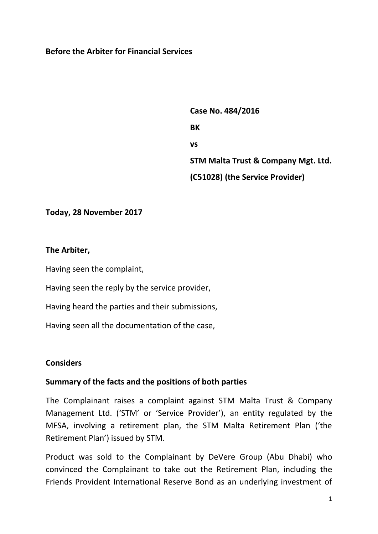#### **Before the Arbiter for Financial Services**

 **Case No. 484/2016 BK vs STM Malta Trust & Company Mgt. Ltd. (C51028) (the Service Provider)**

#### **Today, 28 November 2017**

#### **The Arbiter,**

Having seen the complaint,

Having seen the reply by the service provider,

Having heard the parties and their submissions,

Having seen all the documentation of the case,

## **Considers**

#### **Summary of the facts and the positions of both parties**

The Complainant raises a complaint against STM Malta Trust & Company Management Ltd. ('STM' or 'Service Provider'), an entity regulated by the MFSA, involving a retirement plan, the STM Malta Retirement Plan ('the Retirement Plan') issued by STM.

Product was sold to the Complainant by DeVere Group (Abu Dhabi) who convinced the Complainant to take out the Retirement Plan, including the Friends Provident International Reserve Bond as an underlying investment of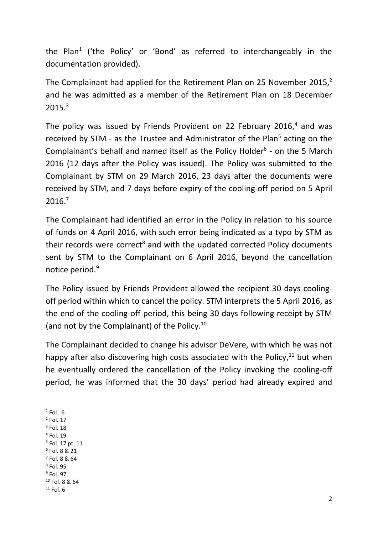the Plan<sup>1</sup> ('the Policy' or 'Bond' as referred to interchangeably in the documentation provided).

The Complainant had applied for the Retirement Plan on 25 November 2015, $^2$ and he was admitted as a member of the Retirement Plan on 18 December 2015. 3

The policy was issued by Friends Provident on 22 February 2016,<sup>4</sup> and was received by STM - as the Trustee and Administrator of the Plan<sup>5</sup> acting on the Complainant's behalf and named itself as the Policy Holder $6$  - on the 5 March 2016 (12 days after the Policy was issued). The Policy was submitted to the Complainant by STM on 29 March 2016, 23 days after the documents were received by STM, and 7 days before expiry of the cooling-off period on 5 April 2016. 7

The Complainant had identified an error in the Policy in relation to his source of funds on 4 April 2016, with such error being indicated as a typo by STM as their records were correct<sup>8</sup> and with the updated corrected Policy documents sent by STM to the Complainant on 6 April 2016, beyond the cancellation notice period. 9

The Policy issued by Friends Provident allowed the recipient 30 days coolingoff period within which to cancel the policy. STM interprets the 5 April 2016, as the end of the cooling-off period, this being 30 days following receipt by STM (and not by the Complainant) of the Policy. 10

The Complainant decided to change his advisor DeVere, with which he was not happy after also discovering high costs associated with the Policy, $^{11}$  but when he eventually ordered the cancellation of the Policy invoking the cooling-off period, he was informed that the 30 days' period had already expired and

**.**  $<sup>1</sup>$  Fol. 6</sup>

- $<sup>2</sup>$  Fol. 17</sup>
- $3$  Fol. 18
- 4 Fol. 19
- 5 Fol. 17 pt. 11
- 6 Fol. 8 & 21
- $<sup>7</sup>$  Fol. 8 & 64</sup> 8 Fol. 95
- $^9$  Fol. 97
- <sup>10</sup> Fol. 8 & 64
- $11$  Fol. 6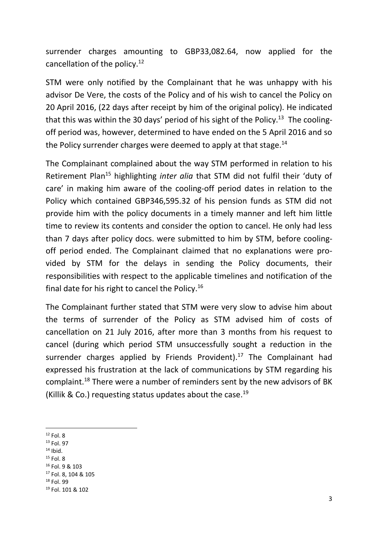surrender charges amounting to GBP33,082.64, now applied for the cancellation of the policy.<sup>12</sup>

STM were only notified by the Complainant that he was unhappy with his advisor De Vere, the costs of the Policy and of his wish to cancel the Policy on 20 April 2016, (22 days after receipt by him of the original policy). He indicated that this was within the 30 days' period of his sight of the Policy.<sup>13</sup> The coolingoff period was, however, determined to have ended on the 5 April 2016 and so the Policy surrender charges were deemed to apply at that stage.<sup>14</sup>

The Complainant complained about the way STM performed in relation to his Retirement Plan<sup>15</sup> highlighting *inter alia* that STM did not fulfil their 'duty of care' in making him aware of the cooling-off period dates in relation to the Policy which contained GBP346,595.32 of his pension funds as STM did not provide him with the policy documents in a timely manner and left him little time to review its contents and consider the option to cancel. He only had less than 7 days after policy docs. were submitted to him by STM, before coolingoff period ended. The Complainant claimed that no explanations were provided by STM for the delays in sending the Policy documents, their responsibilities with respect to the applicable timelines and notification of the final date for his right to cancel the Policy.<sup>16</sup>

The Complainant further stated that STM were very slow to advise him about the terms of surrender of the Policy as STM advised him of costs of cancellation on 21 July 2016, after more than 3 months from his request to cancel (during which period STM unsuccessfully sought a reduction in the surrender charges applied by Friends Provident).<sup>17</sup> The Complainant had expressed his frustration at the lack of communications by STM regarding his complaint.<sup>18</sup> There were a number of reminders sent by the new advisors of BK (Killik & Co.) requesting status updates about the case.<sup>19</sup>

- <sup>13</sup> Fol. 97
- $14$  Ibid.
- $15$  Fol. 8
- <sup>16</sup> Fol. 9 & 103
- <sup>17</sup> Fol. 8, 104 & 105
- <sup>18</sup> Fol. 99

**<sup>.</sup>**  $12$  Fol. 8

<sup>19</sup> Fol. 101 & 102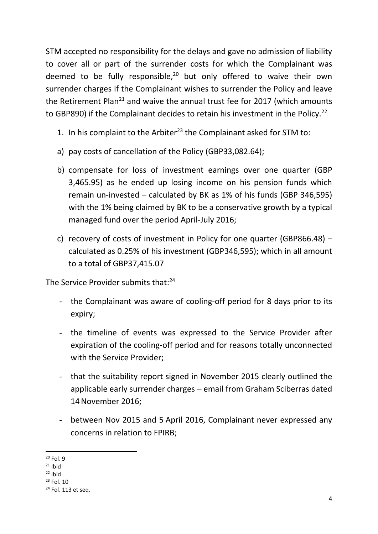STM accepted no responsibility for the delays and gave no admission of liability to cover all or part of the surrender costs for which the Complainant was deemed to be fully responsible, $20$  but only offered to waive their own surrender charges if the Complainant wishes to surrender the Policy and leave the Retirement Plan<sup>21</sup> and waive the annual trust fee for 2017 (which amounts to GBP890) if the Complainant decides to retain his investment in the Policy.<sup>22</sup>

- 1. In his complaint to the Arbiter<sup>23</sup> the Complainant asked for STM to:
- a) pay costs of cancellation of the Policy (GBP33,082.64);
- b) compensate for loss of investment earnings over one quarter (GBP 3,465.95) as he ended up losing income on his pension funds which remain un-invested – calculated by BK as 1% of his funds (GBP 346,595) with the 1% being claimed by BK to be a conservative growth by a typical managed fund over the period April-July 2016;
- c) recovery of costs of investment in Policy for one quarter (GBP866.48) calculated as 0.25% of his investment (GBP346,595); which in all amount to a total of GBP37,415.07

The Service Provider submits that:<sup>24</sup>

- the Complainant was aware of cooling-off period for 8 days prior to its expiry;
- the timeline of events was expressed to the Service Provider after expiration of the cooling-off period and for reasons totally unconnected with the Service Provider;
- that the suitability report signed in November 2015 clearly outlined the applicable early surrender charges – email from Graham Sciberras dated 14November 2016;
- between Nov 2015 and 5 April 2016, Complainant never expressed any concerns in relation to FPIRB;

**<sup>.</sup>**  $20$  Fol. 9

 $21$  Ibid

 $22$  Ibid

<sup>23</sup> Fol. 10

<sup>&</sup>lt;sup>24</sup> Fol. 113 et seq.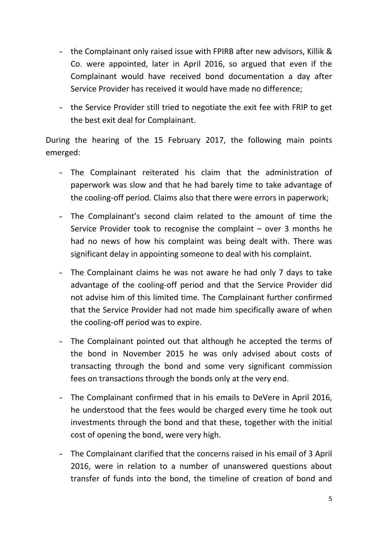- the Complainant only raised issue with FPIRB after new advisors, Killik & Co. were appointed, later in April 2016, so argued that even if the Complainant would have received bond documentation a day after Service Provider has received it would have made no difference;
- the Service Provider still tried to negotiate the exit fee with FRIP to get the best exit deal for Complainant.

During the hearing of the 15 February 2017, the following main points emerged:

- The Complainant reiterated his claim that the administration of paperwork was slow and that he had barely time to take advantage of the cooling-off period. Claims also that there were errors in paperwork;
- The Complainant's second claim related to the amount of time the Service Provider took to recognise the complaint – over 3 months he had no news of how his complaint was being dealt with. There was significant delay in appointing someone to deal with his complaint.
- The Complainant claims he was not aware he had only 7 days to take advantage of the cooling-off period and that the Service Provider did not advise him of this limited time. The Complainant further confirmed that the Service Provider had not made him specifically aware of when the cooling-off period was to expire.
- The Complainant pointed out that although he accepted the terms of the bond in November 2015 he was only advised about costs of transacting through the bond and some very significant commission fees on transactions through the bonds only at the very end.
- The Complainant confirmed that in his emails to DeVere in April 2016, he understood that the fees would be charged every time he took out investments through the bond and that these, together with the initial cost of opening the bond, were very high.
- The Complainant clarified that the concerns raised in his email of 3 April 2016, were in relation to a number of unanswered questions about transfer of funds into the bond, the timeline of creation of bond and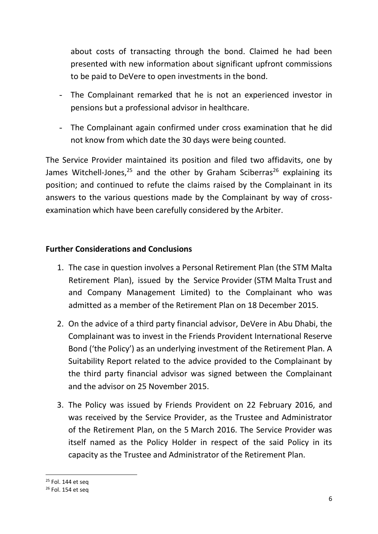about costs of transacting through the bond. Claimed he had been presented with new information about significant upfront commissions to be paid to DeVere to open investments in the bond.

- The Complainant remarked that he is not an experienced investor in pensions but a professional advisor in healthcare.
- The Complainant again confirmed under cross examination that he did not know from which date the 30 days were being counted.

The Service Provider maintained its position and filed two affidavits, one by James Witchell-Jones,<sup>25</sup> and the other by Graham Sciberras<sup>26</sup> explaining its position; and continued to refute the claims raised by the Complainant in its answers to the various questions made by the Complainant by way of crossexamination which have been carefully considered by the Arbiter.

## **Further Considerations and Conclusions**

- 1. The case in question involves a Personal Retirement Plan (the STM Malta Retirement Plan), issued by the Service Provider (STM Malta Trust and and Company Management Limited) to the Complainant who was admitted as a member of the Retirement Plan on 18 December 2015.
- 2. On the advice of a third party financial advisor, DeVere in Abu Dhabi, the Complainant was to invest in the Friends Provident International Reserve Bond ('the Policy') as an underlying investment of the Retirement Plan. A Suitability Report related to the advice provided to the Complainant by the third party financial advisor was signed between the Complainant and the advisor on 25 November 2015.
- 3. The Policy was issued by Friends Provident on 22 February 2016, and was received by the Service Provider, as the Trustee and Administrator of the Retirement Plan, on the 5 March 2016. The Service Provider was itself named as the Policy Holder in respect of the said Policy in its capacity as the Trustee and Administrator of the Retirement Plan.

1

<sup>25</sup> Fol. 144 et seq

<sup>&</sup>lt;sup>26</sup> Fol. 154 et seq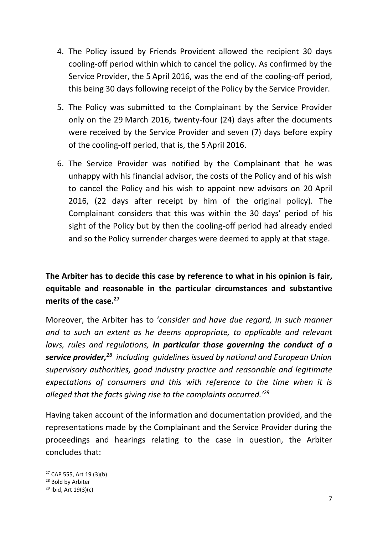- 4. The Policy issued by Friends Provident allowed the recipient 30 days cooling-off period within which to cancel the policy. As confirmed by the Service Provider, the 5 April 2016, was the end of the cooling-off period, this being 30 days following receipt of the Policy by the Service Provider.
- 5. The Policy was submitted to the Complainant by the Service Provider only on the 29 March 2016, twenty-four (24) days after the documents were received by the Service Provider and seven (7) days before expiry of the cooling-off period, that is, the 5 April 2016.
- 6. The Service Provider was notified by the Complainant that he was unhappy with his financial advisor, the costs of the Policy and of his wish to cancel the Policy and his wish to appoint new advisors on 20 April 2016, (22 days after receipt by him of the original policy). The Complainant considers that this was within the 30 days' period of his sight of the Policy but by then the cooling-off period had already ended and so the Policy surrender charges were deemed to apply at that stage.

# **The Arbiter has to decide this case by reference to what in his opinion is fair, equitable and reasonable in the particular circumstances and substantive merits of the case.<sup>27</sup>**

Moreover, the Arbiter has to '*consider and have due regard, in such manner and to such an extent as he deems appropriate, to applicable and relevant laws, rules and regulations, in particular those governing the conduct of a service provider,<sup>28</sup> including guidelines issued by national and European Union supervisory authorities, good industry practice and reasonable and legitimate expectations of consumers and this with reference to the time when it is alleged that the facts giving rise to the complaints occurred.'<sup>29</sup>*

Having taken account of the information and documentation provided, and the representations made by the Complainant and the Service Provider during the proceedings and hearings relating to the case in question, the Arbiter concludes that:

 $\overline{a}$ 

<sup>27</sup> CAP 555, Art 19 (3)(b)

<sup>28</sup> Bold by Arbiter

 $29$  Ibid, Art 19(3)(c)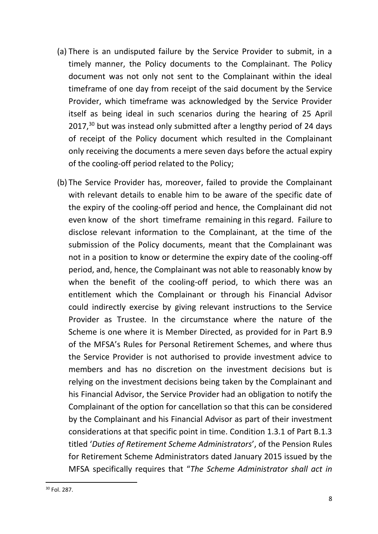- (a) There is an undisputed failure by the Service Provider to submit, in a timely manner, the Policy documents to the Complainant. The Policy document was not only not sent to the Complainant within the ideal timeframe of one day from receipt of the said document by the Service Provider, which timeframe was acknowledged by the Service Provider itself as being ideal in such scenarios during the hearing of 25 April 2017,<sup>30</sup> but was instead only submitted after a lengthy period of 24 days of receipt of the Policy document which resulted in the Complainant only receiving the documents a mere seven days before the actual expiry of the cooling-off period related to the Policy;
- (b) The Service Provider has, moreover, failed to provide the Complainant with relevant details to enable him to be aware of the specific date of the expiry of the cooling-off period and hence, the Complainant did not even know of the short timeframe remaining in this regard. Failure to disclose relevant information to the Complainant, at the time of the submission of the Policy documents, meant that the Complainant was not in a position to know or determine the expiry date of the cooling-off period, and, hence, the Complainant was not able to reasonably know by when the benefit of the cooling-off period, to which there was an entitlement which the Complainant or through his Financial Advisor could indirectly exercise by giving relevant instructions to the Service Provider as Trustee. In the circumstance where the nature of the Scheme is one where it is Member Directed, as provided for in Part B.9 of the MFSA's Rules for Personal Retirement Schemes, and where thus the Service Provider is not authorised to provide investment advice to members and has no discretion on the investment decisions but is relying on the investment decisions being taken by the Complainant and his Financial Advisor, the Service Provider had an obligation to notify the Complainant of the option for cancellation so that this can be considered by the Complainant and his Financial Advisor as part of their investment considerations at that specific point in time. Condition 1.3.1 of Part B.1.3 titled '*Duties of Retirement Scheme Administrators*', of the Pension Rules for Retirement Scheme Administrators dated January 2015 issued by the MFSA specifically requires that "*The Scheme Administrator shall act in*

**.**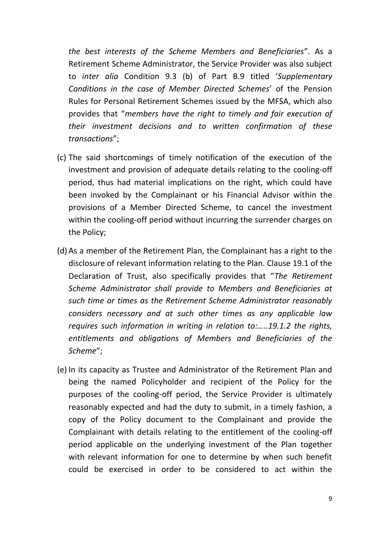*the best interests of the Scheme Members and Beneficiaries*". As a Retirement Scheme Administrator, the Service Provider was also subject to *inter alia* Condition 9.3 (b) of Part B.9 titled '*Supplementary Conditions in the case of Member Directed Schemes*' of the Pension Rules for Personal Retirement Schemes issued by the MFSA, which also provides that "*members have the right to timely and fair execution of their investment decisions and to written confirmation of these transactions*";

- (c) The said shortcomings of timely notification of the execution of the investment and provision of adequate details relating to the cooling-off period, thus had material implications on the right, which could have been invoked by the Complainant or his Financial Advisor within the provisions of a Member Directed Scheme, to cancel the investment within the cooling-off period without incurring the surrender charges on the Policy;
- (d) As a member of the Retirement Plan, the Complainant has a right to the disclosure of relevant information relating to the Plan. Clause 19.1 of the Declaration of Trust, also specifically provides that "*The Retirement Scheme Administrator shall provide to Members and Beneficiaries at such time or times as the Retirement Scheme Administrator reasonably considers necessary and at such other times as any applicable law requires such information in writing in relation to:…..19.1.2 the rights, entitlements and obligations of Members and Beneficiaries of the Scheme*";
- (e) In its capacity as Trustee and Administrator of the Retirement Plan and being the named Policyholder and recipient of the Policy for the purposes of the cooling-off period, the Service Provider is ultimately reasonably expected and had the duty to submit, in a timely fashion, a copy of the Policy document to the Complainant and provide the Complainant with details relating to the entitlement of the cooling-off period applicable on the underlying investment of the Plan together with relevant information for one to determine by when such benefit could be exercised in order to be considered to act within the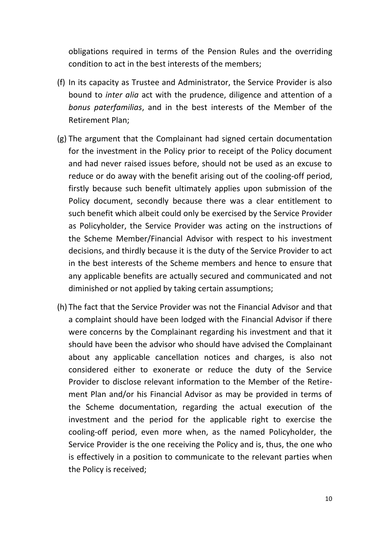obligations required in terms of the Pension Rules and the overriding condition to act in the best interests of the members;

- (f) In its capacity as Trustee and Administrator, the Service Provider is also bound to *inter alia* act with the prudence, diligence and attention of a *bonus paterfamilias*, and in the best interests of the Member of the Retirement Plan;
- (g) The argument that the Complainant had signed certain documentation for the investment in the Policy prior to receipt of the Policy document and had never raised issues before, should not be used as an excuse to reduce or do away with the benefit arising out of the cooling-off period, firstly because such benefit ultimately applies upon submission of the Policy document, secondly because there was a clear entitlement to such benefit which albeit could only be exercised by the Service Provider as Policyholder, the Service Provider was acting on the instructions of the Scheme Member/Financial Advisor with respect to his investment decisions, and thirdly because it is the duty of the Service Provider to act in the best interests of the Scheme members and hence to ensure that any applicable benefits are actually secured and communicated and not diminished or not applied by taking certain assumptions;
- (h) The fact that the Service Provider was not the Financial Advisor and that a complaint should have been lodged with the Financial Advisor if there were concerns by the Complainant regarding his investment and that it should have been the advisor who should have advised the Complainant about any applicable cancellation notices and charges, is also not considered either to exonerate or reduce the duty of the Service Provider to disclose relevant information to the Member of the Retirement Plan and/or his Financial Advisor as may be provided in terms of the Scheme documentation, regarding the actual execution of the investment and the period for the applicable right to exercise the cooling-off period, even more when, as the named Policyholder, the Service Provider is the one receiving the Policy and is, thus, the one who is effectively in a position to communicate to the relevant parties when the Policy is received;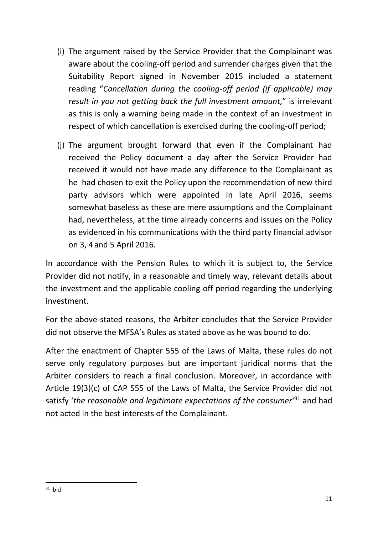- (i) The argument raised by the Service Provider that the Complainant was aware about the cooling-off period and surrender charges given that the Suitability Report signed in November 2015 included a statement reading "*Cancellation during the cooling-off period (if applicable) may result in you not getting back the full investment amount,*" is irrelevant as this is only a warning being made in the context of an investment in respect of which cancellation is exercised during the cooling-off period;
- (j) The argument brought forward that even if the Complainant had received the Policy document a day after the Service Provider had received it would not have made any difference to the Complainant as he had chosen to exit the Policy upon the recommendation of new third party advisors which were appointed in late April 2016, seems somewhat baseless as these are mere assumptions and the Complainant had, nevertheless, at the time already concerns and issues on the Policy as evidenced in his communications with the third party financial advisor on 3, 4 and 5 April 2016.

In accordance with the Pension Rules to which it is subject to, the Service Provider did not notify, in a reasonable and timely way, relevant details about the investment and the applicable cooling-off period regarding the underlying investment.

For the above-stated reasons, the Arbiter concludes that the Service Provider did not observe the MFSA's Rules as stated above as he was bound to do.

After the enactment of Chapter 555 of the Laws of Malta, these rules do not serve only regulatory purposes but are important juridical norms that the Arbiter considers to reach a final conclusion. Moreover, in accordance with Article 19(3)(c) of CAP 555 of the Laws of Malta, the Service Provider did not satisfy '*the reasonable and legitimate expectations of the consumer'*<sup>31</sup> and had not acted in the best interests of the Complainant.